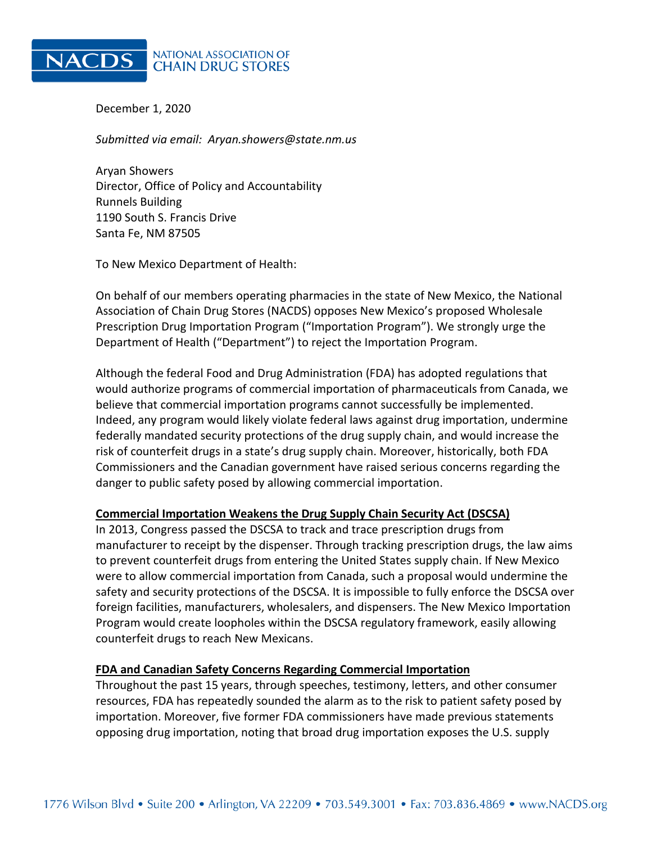

**NATIONAL ASSOCIATION OF CHAIN DRUG STORES** 

December 1, 2020

*Submitted via email: Aryan.showers@state.nm.us*

Aryan Showers Director, Office of Policy and Accountability Runnels Building 1190 South S. Francis Drive Santa Fe, NM 87505

To New Mexico Department of Health:

On behalf of our members operating pharmacies in the state of New Mexico, the National Association of Chain Drug Stores (NACDS) opposes New Mexico's proposed Wholesale Prescription Drug Importation Program ("Importation Program"). We strongly urge the Department of Health ("Department") to reject the Importation Program.

Although the federal Food and Drug Administration (FDA) has adopted regulations that would authorize programs of commercial importation of pharmaceuticals from Canada, we believe that commercial importation programs cannot successfully be implemented. Indeed, any program would likely violate federal laws against drug importation, undermine federally mandated security protections of the drug supply chain, and would increase the risk of counterfeit drugs in a state's drug supply chain. Moreover, historically, both FDA Commissioners and the Canadian government have raised serious concerns regarding the danger to public safety posed by allowing commercial importation.

### **Commercial Importation Weakens the Drug Supply Chain Security Act (DSCSA)**

In 2013, Congress passed the DSCSA to track and trace prescription drugs from manufacturer to receipt by the dispenser. Through tracking prescription drugs, the law aims to prevent counterfeit drugs from entering the United States supply chain. If New Mexico were to allow commercial importation from Canada, such a proposal would undermine the safety and security protections of the DSCSA. It is impossible to fully enforce the DSCSA over foreign facilities, manufacturers, wholesalers, and dispensers. The New Mexico Importation Program would create loopholes within the DSCSA regulatory framework, easily allowing counterfeit drugs to reach New Mexicans.

### **FDA and Canadian Safety Concerns Regarding Commercial Importation**

Throughout the past 15 years, through speeches, testimony, letters, and other consumer resources, FDA has repeatedly sounded the alarm as to the risk to patient safety posed by importation. Moreover, five former FDA commissioners have made previous statements opposing drug importation, noting that broad drug importation exposes the U.S. supply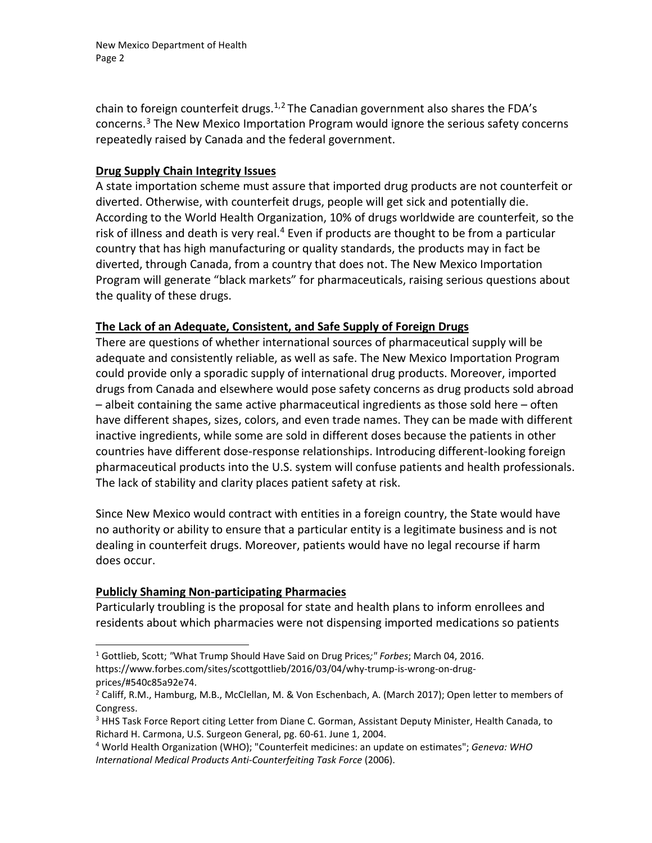chain to foreign counterfeit drugs.<sup>[1,](#page-1-0)[2](#page-1-1)</sup> The Canadian government also shares the FDA's concerns.[3](#page-1-2) The New Mexico Importation Program would ignore the serious safety concerns repeatedly raised by Canada and the federal government.

## **Drug Supply Chain Integrity Issues**

A state importation scheme must assure that imported drug products are not counterfeit or diverted. Otherwise, with counterfeit drugs, people will get sick and potentially die. According to the World Health Organization, 10% of drugs worldwide are counterfeit, so the risk of illness and death is very real.<sup>[4](#page-1-3)</sup> Even if products are thought to be from a particular country that has high manufacturing or quality standards, the products may in fact be diverted, through Canada, from a country that does not. The New Mexico Importation Program will generate "black markets" for pharmaceuticals, raising serious questions about the quality of these drugs.

## **The Lack of an Adequate, Consistent, and Safe Supply of Foreign Drugs**

There are questions of whether international sources of pharmaceutical supply will be adequate and consistently reliable, as well as safe. The New Mexico Importation Program could provide only a sporadic supply of international drug products. Moreover, imported drugs from Canada and elsewhere would pose safety concerns as drug products sold abroad – albeit containing the same active pharmaceutical ingredients as those sold here – often have different shapes, sizes, colors, and even trade names. They can be made with different inactive ingredients, while some are sold in different doses because the patients in other countries have different dose-response relationships. Introducing different-looking foreign pharmaceutical products into the U.S. system will confuse patients and health professionals. The lack of stability and clarity places patient safety at risk.

Since New Mexico would contract with entities in a foreign country, the State would have no authority or ability to ensure that a particular entity is a legitimate business and is not dealing in counterfeit drugs. Moreover, patients would have no legal recourse if harm does occur.

# **Publicly Shaming Non-participating Pharmacies**

Particularly troubling is the proposal for state and health plans to inform enrollees and residents about which pharmacies were not dispensing imported medications so patients

<span id="page-1-0"></span><sup>1</sup> Gottlieb, Scott; *"*What Trump Should Have Said on Drug Prices*;" Forbes*; March 04, 2016. https://www.forbes.com/sites/scottgottlieb/2016/03/04/why-trump-is-wrong-on-drugprices/#540c85a92e74.

<span id="page-1-1"></span><sup>&</sup>lt;sup>2</sup> Califf, R.M., Hamburg, M.B., McClellan, M. & Von Eschenbach, A. (March 2017); Open letter to members of Congress.

<span id="page-1-2"></span><sup>&</sup>lt;sup>3</sup> HHS Task Force Report citing Letter from Diane C. Gorman, Assistant Deputy Minister, Health Canada, to Richard H. Carmona, U.S. Surgeon General, pg. 60-61. June 1, 2004.

<span id="page-1-3"></span><sup>4</sup> World Health Organization (WHO); "Counterfeit medicines: an update on estimates"; *Geneva: WHO International Medical Products Anti-Counterfeiting Task Force* (2006).